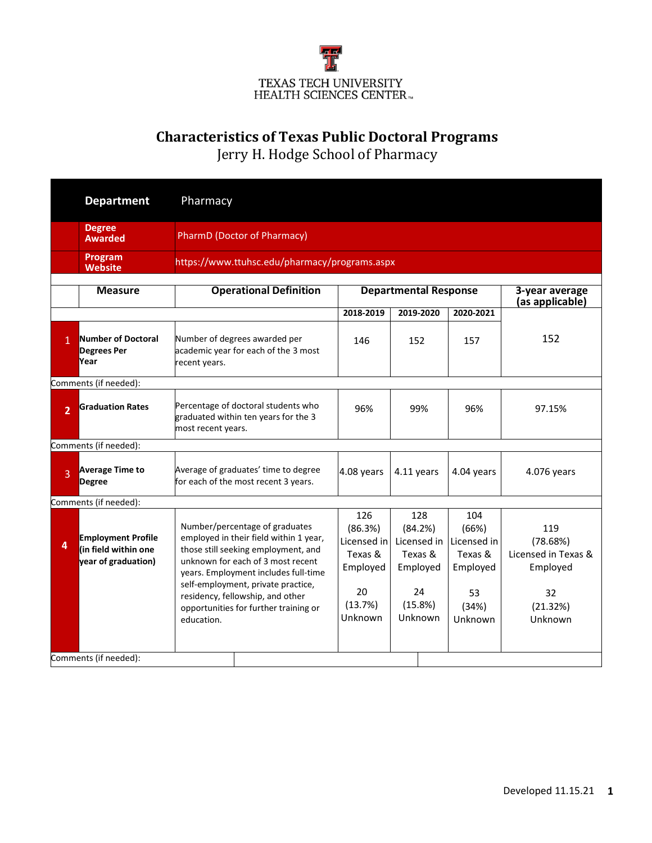

## **Characteristics of Texas Public Doctoral Programs**

Jerry H. Hodge School of Pharmacy

|                | <b>Department</b>                                                        | Pharmacy                                                                                                                                                                                                                                                                                                                      |                                                                                  |                                                                                  |                                                                              |                                                                                 |  |  |  |
|----------------|--------------------------------------------------------------------------|-------------------------------------------------------------------------------------------------------------------------------------------------------------------------------------------------------------------------------------------------------------------------------------------------------------------------------|----------------------------------------------------------------------------------|----------------------------------------------------------------------------------|------------------------------------------------------------------------------|---------------------------------------------------------------------------------|--|--|--|
|                | <b>Degree</b><br><b>Awarded</b>                                          | <b>PharmD (Doctor of Pharmacy)</b>                                                                                                                                                                                                                                                                                            |                                                                                  |                                                                                  |                                                                              |                                                                                 |  |  |  |
|                | Program<br><b>Website</b>                                                |                                                                                                                                                                                                                                                                                                                               | https://www.ttuhsc.edu/pharmacy/programs.aspx                                    |                                                                                  |                                                                              |                                                                                 |  |  |  |
|                | <b>Measure</b>                                                           | <b>Operational Definition</b>                                                                                                                                                                                                                                                                                                 | <b>Departmental Response</b><br>3-year average<br>(as applicable)                |                                                                                  |                                                                              |                                                                                 |  |  |  |
|                |                                                                          |                                                                                                                                                                                                                                                                                                                               | 2018-2019                                                                        | 2019-2020                                                                        | 2020-2021                                                                    |                                                                                 |  |  |  |
| $\mathbf{1}$   | Number of Doctoral<br><b>Degrees Per</b><br>Year                         | Number of degrees awarded per<br>academic year for each of the 3 most<br>recent years.                                                                                                                                                                                                                                        | 146                                                                              | 152                                                                              | 157                                                                          | 152                                                                             |  |  |  |
|                | Comments (if needed):                                                    |                                                                                                                                                                                                                                                                                                                               |                                                                                  |                                                                                  |                                                                              |                                                                                 |  |  |  |
| $\overline{2}$ | <b>Graduation Rates</b>                                                  | Percentage of doctoral students who<br>graduated within ten years for the 3<br>most recent years.                                                                                                                                                                                                                             | 96%                                                                              | 99%                                                                              | 96%                                                                          | 97.15%                                                                          |  |  |  |
|                | Comments (if needed):                                                    |                                                                                                                                                                                                                                                                                                                               |                                                                                  |                                                                                  |                                                                              |                                                                                 |  |  |  |
| $\overline{3}$ | <b>Average Time to</b><br><b>Degree</b>                                  | Average of graduates' time to degree<br>for each of the most recent 3 years.                                                                                                                                                                                                                                                  | 4.08 years                                                                       | 4.11 years                                                                       | 4.04 years                                                                   | 4.076 years                                                                     |  |  |  |
|                | Comments (if needed):                                                    |                                                                                                                                                                                                                                                                                                                               |                                                                                  |                                                                                  |                                                                              |                                                                                 |  |  |  |
| 4              | <b>Employment Profile</b><br>(in field within one<br>year of graduation) | Number/percentage of graduates<br>employed in their field within 1 year,<br>those still seeking employment, and<br>unknown for each of 3 most recent<br>years. Employment includes full-time<br>self-employment, private practice,<br>residency, fellowship, and other<br>opportunities for further training or<br>education. | 126<br>(86.3%)<br>Licensed in<br>Texas &<br>Employed<br>20<br>(13.7%)<br>Unknown | 128<br>(84.2%)<br>Licensed in<br>Texas &<br>Employed<br>24<br>(15.8%)<br>Unknown | 104<br>(66%)<br>Licensed in<br>Texas &<br>Employed<br>53<br>(34%)<br>Unknown | 119<br>(78.68%)<br>Licensed in Texas &<br>Employed<br>32<br>(21.32%)<br>Unknown |  |  |  |
|                | Comments (if needed):                                                    |                                                                                                                                                                                                                                                                                                                               |                                                                                  |                                                                                  |                                                                              |                                                                                 |  |  |  |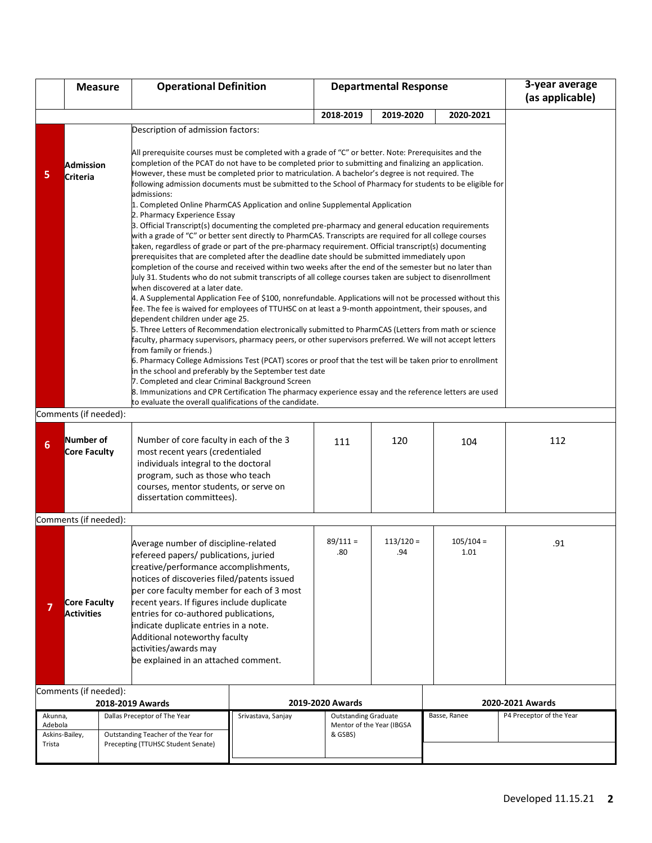|                                                                                                                                                                                                                                                                                                                                                                                                                                                                                                   | <b>Measure</b>                                                                                                                                                                                                                                                                                                                                                                                                                                                                                 |                                                                                                                                                                                                                                                                                                                                                                                                                                                                                                                                                                                                                                                                                                                                                                                                                                                                                                                                                                                                                                                                                                                                                                                                                                                                                                                                                                                                                                                                                                                                                                                                                                                                                                                                        | <b>Operational Definition</b>                                                                                                                                                                                                |                    | <b>Departmental Response</b>         |           |              | 3-year average<br>(as applicable) |
|---------------------------------------------------------------------------------------------------------------------------------------------------------------------------------------------------------------------------------------------------------------------------------------------------------------------------------------------------------------------------------------------------------------------------------------------------------------------------------------------------|------------------------------------------------------------------------------------------------------------------------------------------------------------------------------------------------------------------------------------------------------------------------------------------------------------------------------------------------------------------------------------------------------------------------------------------------------------------------------------------------|----------------------------------------------------------------------------------------------------------------------------------------------------------------------------------------------------------------------------------------------------------------------------------------------------------------------------------------------------------------------------------------------------------------------------------------------------------------------------------------------------------------------------------------------------------------------------------------------------------------------------------------------------------------------------------------------------------------------------------------------------------------------------------------------------------------------------------------------------------------------------------------------------------------------------------------------------------------------------------------------------------------------------------------------------------------------------------------------------------------------------------------------------------------------------------------------------------------------------------------------------------------------------------------------------------------------------------------------------------------------------------------------------------------------------------------------------------------------------------------------------------------------------------------------------------------------------------------------------------------------------------------------------------------------------------------------------------------------------------------|------------------------------------------------------------------------------------------------------------------------------------------------------------------------------------------------------------------------------|--------------------|--------------------------------------|-----------|--------------|-----------------------------------|
|                                                                                                                                                                                                                                                                                                                                                                                                                                                                                                   |                                                                                                                                                                                                                                                                                                                                                                                                                                                                                                |                                                                                                                                                                                                                                                                                                                                                                                                                                                                                                                                                                                                                                                                                                                                                                                                                                                                                                                                                                                                                                                                                                                                                                                                                                                                                                                                                                                                                                                                                                                                                                                                                                                                                                                                        |                                                                                                                                                                                                                              |                    | 2018-2019                            | 2019-2020 | 2020-2021    |                                   |
| 5                                                                                                                                                                                                                                                                                                                                                                                                                                                                                                 | Description of admission factors:<br>All prerequisite courses must be completed with a grade of "C" or better. Note: Prerequisites and the<br>completion of the PCAT do not have to be completed prior to submitting and finalizing an application.<br>Admission<br>However, these must be completed prior to matriculation. A bachelor's degree is not required. The<br>Criteria<br>following admission documents must be submitted to the School of Pharmacy for students to be eligible for |                                                                                                                                                                                                                                                                                                                                                                                                                                                                                                                                                                                                                                                                                                                                                                                                                                                                                                                                                                                                                                                                                                                                                                                                                                                                                                                                                                                                                                                                                                                                                                                                                                                                                                                                        |                                                                                                                                                                                                                              |                    |                                      |           |              |                                   |
|                                                                                                                                                                                                                                                                                                                                                                                                                                                                                                   |                                                                                                                                                                                                                                                                                                                                                                                                                                                                                                | admissions:<br>1. Completed Online PharmCAS Application and online Supplemental Application<br>2. Pharmacy Experience Essay<br>3. Official Transcript(s) documenting the completed pre-pharmacy and general education requirements<br>with a grade of "C" or better sent directly to PharmCAS. Transcripts are required for all college courses<br>taken, regardless of grade or part of the pre-pharmacy requirement. Official transcript(s) documenting<br>prerequisites that are completed after the deadline date should be submitted immediately upon<br>completion of the course and received within two weeks after the end of the semester but no later than<br>July 31. Students who do not submit transcripts of all college courses taken are subject to disenrollment<br>when discovered at a later date.<br>4. A Supplemental Application Fee of \$100, nonrefundable. Applications will not be processed without this<br>fee. The fee is waived for employees of TTUHSC on at least a 9-month appointment, their spouses, and<br>dependent children under age 25.<br>5. Three Letters of Recommendation electronically submitted to PharmCAS (Letters from math or science<br>faculty, pharmacy supervisors, pharmacy peers, or other supervisors preferred. We will not accept letters<br>from family or friends.)<br>6. Pharmacy College Admissions Test (PCAT) scores or proof that the test will be taken prior to enrollment<br>in the school and preferably by the September test date<br>7. Completed and clear Criminal Background Screen<br>8. Immunizations and CPR Certification The pharmacy experience essay and the reference letters are used<br>to evaluate the overall qualifications of the candidate. |                                                                                                                                                                                                                              |                    |                                      |           |              |                                   |
|                                                                                                                                                                                                                                                                                                                                                                                                                                                                                                   | Comments (if needed):                                                                                                                                                                                                                                                                                                                                                                                                                                                                          |                                                                                                                                                                                                                                                                                                                                                                                                                                                                                                                                                                                                                                                                                                                                                                                                                                                                                                                                                                                                                                                                                                                                                                                                                                                                                                                                                                                                                                                                                                                                                                                                                                                                                                                                        |                                                                                                                                                                                                                              |                    |                                      |           |              |                                   |
| 6                                                                                                                                                                                                                                                                                                                                                                                                                                                                                                 | Number of<br><b>Core Faculty</b>                                                                                                                                                                                                                                                                                                                                                                                                                                                               |                                                                                                                                                                                                                                                                                                                                                                                                                                                                                                                                                                                                                                                                                                                                                                                                                                                                                                                                                                                                                                                                                                                                                                                                                                                                                                                                                                                                                                                                                                                                                                                                                                                                                                                                        | Number of core faculty in each of the 3<br>most recent years (credentialed<br>individuals integral to the doctoral<br>program, such as those who teach<br>courses, mentor students, or serve on<br>dissertation committees). |                    | 111                                  | 120       | 104          | 112                               |
|                                                                                                                                                                                                                                                                                                                                                                                                                                                                                                   | Comments (if needed):                                                                                                                                                                                                                                                                                                                                                                                                                                                                          |                                                                                                                                                                                                                                                                                                                                                                                                                                                                                                                                                                                                                                                                                                                                                                                                                                                                                                                                                                                                                                                                                                                                                                                                                                                                                                                                                                                                                                                                                                                                                                                                                                                                                                                                        |                                                                                                                                                                                                                              |                    |                                      |           |              |                                   |
| Average number of discipline-related<br>refereed papers/ publications, juried<br>creative/performance accomplishments,<br>notices of discoveries filed/patents issued<br>per core faculty member for each of 3 most<br>recent years. If figures include duplicate<br><b>Core Faculty</b><br>entries for co-authored publications,<br><b>Activities</b><br>indicate duplicate entries in a note.<br>Additional noteworthy faculty<br>activities/awards may<br>be explained in an attached comment. |                                                                                                                                                                                                                                                                                                                                                                                                                                                                                                |                                                                                                                                                                                                                                                                                                                                                                                                                                                                                                                                                                                                                                                                                                                                                                                                                                                                                                                                                                                                                                                                                                                                                                                                                                                                                                                                                                                                                                                                                                                                                                                                                                                                                                                                        | $89/111 =$<br>.80                                                                                                                                                                                                            | $113/120 =$<br>.94 | $105/104 =$<br>1.01                  | .91       |              |                                   |
|                                                                                                                                                                                                                                                                                                                                                                                                                                                                                                   | Comments (if needed):                                                                                                                                                                                                                                                                                                                                                                                                                                                                          |                                                                                                                                                                                                                                                                                                                                                                                                                                                                                                                                                                                                                                                                                                                                                                                                                                                                                                                                                                                                                                                                                                                                                                                                                                                                                                                                                                                                                                                                                                                                                                                                                                                                                                                                        | 2018-2019 Awards                                                                                                                                                                                                             |                    | 2019-2020 Awards                     |           |              | 2020-2021 Awards                  |
| Akunna,<br>Adebola                                                                                                                                                                                                                                                                                                                                                                                                                                                                                |                                                                                                                                                                                                                                                                                                                                                                                                                                                                                                |                                                                                                                                                                                                                                                                                                                                                                                                                                                                                                                                                                                                                                                                                                                                                                                                                                                                                                                                                                                                                                                                                                                                                                                                                                                                                                                                                                                                                                                                                                                                                                                                                                                                                                                                        | Dallas Preceptor of The Year                                                                                                                                                                                                 | Srivastava, Sanjay | <b>Outstanding Graduate</b>          |           | Basse, Ranee | P4 Preceptor of the Year          |
| Askins-Bailey,<br>Trista                                                                                                                                                                                                                                                                                                                                                                                                                                                                          |                                                                                                                                                                                                                                                                                                                                                                                                                                                                                                |                                                                                                                                                                                                                                                                                                                                                                                                                                                                                                                                                                                                                                                                                                                                                                                                                                                                                                                                                                                                                                                                                                                                                                                                                                                                                                                                                                                                                                                                                                                                                                                                                                                                                                                                        | Outstanding Teacher of the Year for<br>Precepting (TTUHSC Student Senate)                                                                                                                                                    |                    | Mentor of the Year (IBGSA<br>& GSBS) |           |              |                                   |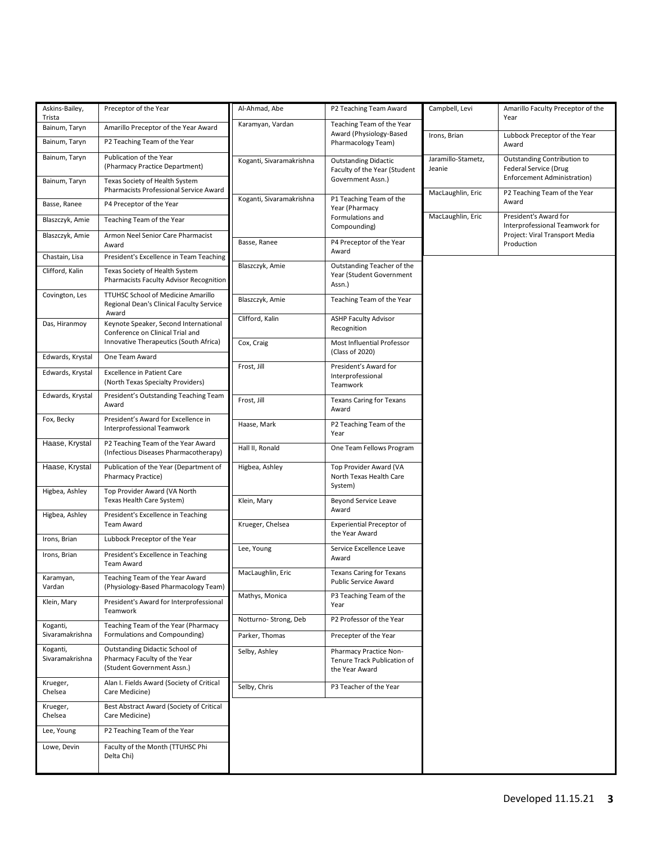| Askins-Bailey,<br>Trista    | Preceptor of the Year                                                                        | Al-Ahmad, Abe            | P2 Teaching Team Award                                                  | Campbell, Levi               | Amarillo Faculty Preceptor of the<br>Year                                                  |
|-----------------------------|----------------------------------------------------------------------------------------------|--------------------------|-------------------------------------------------------------------------|------------------------------|--------------------------------------------------------------------------------------------|
| Bainum, Taryn               | Karamyan, Vardan<br>Amarillo Preceptor of the Year Award<br>Award (Physiology-Based          |                          | Teaching Team of the Year                                               |                              |                                                                                            |
| Bainum, Taryn               | P2 Teaching Team of the Year                                                                 |                          | Pharmacology Team)                                                      | Irons, Brian                 | Lubbock Preceptor of the Year<br>Award                                                     |
| Bainum, Taryn               | Publication of the Year<br>(Pharmacy Practice Department)                                    | Koganti, Sivaramakrishna | <b>Outstanding Didactic</b><br>Faculty of the Year (Student             | Jaramillo-Stametz,<br>Jeanie | Outstanding Contribution to<br><b>Federal Service (Drug</b><br>Enforcement Administration) |
| Bainum, Taryn               | Texas Society of Health System<br>Pharmacists Professional Service Award                     |                          | Government Assn.)                                                       | MacLaughlin, Eric            | P2 Teaching Team of the Year                                                               |
| Basse, Ranee                | P4 Preceptor of the Year                                                                     | Koganti, Sivaramakrishna | P1 Teaching Team of the<br>Year (Pharmacy                               |                              | Award                                                                                      |
| Blaszczyk, Amie             | Teaching Team of the Year                                                                    |                          | Formulations and<br>Compounding)                                        | MacLaughlin, Eric            | President's Award for<br>Interprofessional Teamwork for                                    |
| Blaszczyk, Amie             | Armon Neel Senior Care Pharmacist<br>Award                                                   | Basse, Ranee             | P4 Preceptor of the Year<br>Award                                       |                              | Project: Viral Transport Media<br>Production                                               |
| Chastain, Lisa              | President's Excellence in Team Teaching                                                      | Blaszczyk, Amie          | Outstanding Teacher of the                                              |                              |                                                                                            |
| Clifford, Kalin             | Texas Society of Health System<br>Pharmacists Faculty Advisor Recognition                    |                          | Year (Student Government<br>Assn.)                                      |                              |                                                                                            |
| Covington, Les              | TTUHSC School of Medicine Amarillo<br>Regional Dean's Clinical Faculty Service               | Blaszczyk, Amie          | Teaching Team of the Year                                               |                              |                                                                                            |
| Das, Hiranmoy               | Award<br>Keynote Speaker, Second International<br>Conference on Clinical Trial and           | Clifford, Kalin          | <b>ASHP Faculty Advisor</b><br>Recognition                              |                              |                                                                                            |
|                             | Innovative Therapeutics (South Africa)                                                       | Cox, Craig               | Most Influential Professor<br>(Class of 2020)                           |                              |                                                                                            |
| Edwards, Krystal            | One Team Award                                                                               | Frost, Jill              | President's Award for                                                   |                              |                                                                                            |
| Edwards, Krystal            | <b>Excellence in Patient Care</b><br>(North Texas Specialty Providers)                       |                          | Interprofessional<br>Teamwork                                           |                              |                                                                                            |
| Edwards, Krystal            | President's Outstanding Teaching Team<br>Award                                               | Frost, Jill              | <b>Texans Caring for Texans</b><br>Award                                |                              |                                                                                            |
| Fox, Becky                  | President's Award for Excellence in<br>Interprofessional Teamwork                            | Haase, Mark              | P2 Teaching Team of the<br>Year                                         |                              |                                                                                            |
| Haase, Krystal              | P2 Teaching Team of the Year Award<br>(Infectious Diseases Pharmacotherapy)                  | Hall II, Ronald          | One Team Fellows Program                                                |                              |                                                                                            |
| Haase, Krystal              | Publication of the Year (Department of<br><b>Pharmacy Practice)</b>                          | Higbea, Ashley           | Top Provider Award (VA<br>North Texas Health Care                       |                              |                                                                                            |
| Higbea, Ashley              | Top Provider Award (VA North<br>Texas Health Care System)                                    | Klein, Mary              | System)<br>Beyond Service Leave                                         |                              |                                                                                            |
| Higbea, Ashley              | President's Excellence in Teaching<br><b>Team Award</b>                                      | Krueger, Chelsea         | Award<br><b>Experiential Preceptor of</b>                               |                              |                                                                                            |
| Irons, Brian                | Lubbock Preceptor of the Year                                                                |                          | the Year Award                                                          |                              |                                                                                            |
| Irons, Brian                | President's Excellence in Teaching<br>Team Award                                             | Lee, Young               | Service Excellence Leave<br>Award                                       |                              |                                                                                            |
| Karamyan,<br>Vardan         | Teaching Team of the Year Award<br>(Physiology-Based Pharmacology Team)                      | MacLaughlin, Eric        | <b>Texans Caring for Texans</b><br><b>Public Service Award</b>          |                              |                                                                                            |
| Klein, Mary                 | President's Award for Interprofessional<br>Teamwork                                          | Mathys, Monica           | P3 Teaching Team of the<br>Year                                         |                              |                                                                                            |
| Koganti,                    | Teaching Team of the Year (Pharmacy                                                          | Notturno-Strong, Deb     | P2 Professor of the Year                                                |                              |                                                                                            |
| Sivaramakrishna             | Formulations and Compounding)                                                                | Parker, Thomas           | Precepter of the Year                                                   |                              |                                                                                            |
| Koganti,<br>Sivaramakrishna | Outstanding Didactic School of<br>Pharmacy Faculty of the Year<br>(Student Government Assn.) | Selby, Ashley            | Pharmacy Practice Non-<br>Tenure Track Publication of<br>the Year Award |                              |                                                                                            |
| Krueger,<br>Chelsea         | Alan I. Fields Award (Society of Critical<br>Care Medicine)                                  | Selby, Chris             | P3 Teacher of the Year                                                  |                              |                                                                                            |
| Krueger,<br>Chelsea         | Best Abstract Award (Society of Critical<br>Care Medicine)                                   |                          |                                                                         |                              |                                                                                            |
| Lee, Young                  | P2 Teaching Team of the Year                                                                 |                          |                                                                         |                              |                                                                                            |
| Lowe, Devin                 | Faculty of the Month (TTUHSC Phi<br>Delta Chi)                                               |                          |                                                                         |                              |                                                                                            |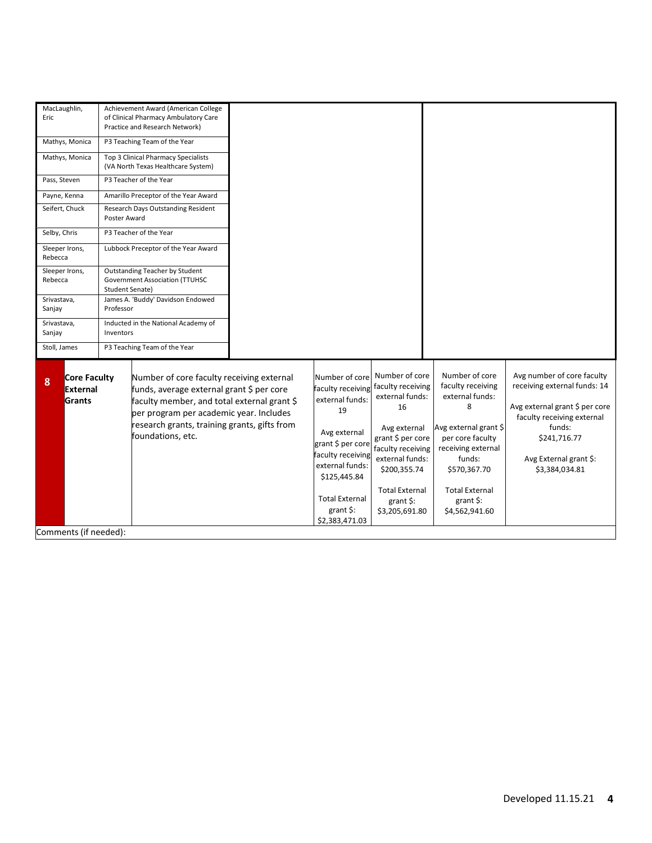| MacLaughlin,<br>Eric<br>Mathys, Monica                |              | Achievement Award (American College<br>of Clinical Pharmacy Ambulatory Care<br>Practice and Research Network)<br>P3 Teaching Team of the Year                                                                                                         |                                                                                                                                                                                    |                                                                                                                                                                                                             |                                                                                                                                                                                                |                                                                                                                                                                                                  |
|-------------------------------------------------------|--------------|-------------------------------------------------------------------------------------------------------------------------------------------------------------------------------------------------------------------------------------------------------|------------------------------------------------------------------------------------------------------------------------------------------------------------------------------------|-------------------------------------------------------------------------------------------------------------------------------------------------------------------------------------------------------------|------------------------------------------------------------------------------------------------------------------------------------------------------------------------------------------------|--------------------------------------------------------------------------------------------------------------------------------------------------------------------------------------------------|
| Mathys, Monica                                        |              | Top 3 Clinical Pharmacy Specialists<br>(VA North Texas Healthcare System)                                                                                                                                                                             |                                                                                                                                                                                    |                                                                                                                                                                                                             |                                                                                                                                                                                                |                                                                                                                                                                                                  |
| Pass, Steven<br>P3 Teacher of the Year                |              |                                                                                                                                                                                                                                                       |                                                                                                                                                                                    |                                                                                                                                                                                                             |                                                                                                                                                                                                |                                                                                                                                                                                                  |
| Payne, Kenna                                          |              | Amarillo Preceptor of the Year Award                                                                                                                                                                                                                  |                                                                                                                                                                                    |                                                                                                                                                                                                             |                                                                                                                                                                                                |                                                                                                                                                                                                  |
| Seifert, Chuck                                        | Poster Award | Research Days Outstanding Resident                                                                                                                                                                                                                    |                                                                                                                                                                                    |                                                                                                                                                                                                             |                                                                                                                                                                                                |                                                                                                                                                                                                  |
| Selby, Chris                                          |              | P3 Teacher of the Year                                                                                                                                                                                                                                |                                                                                                                                                                                    |                                                                                                                                                                                                             |                                                                                                                                                                                                |                                                                                                                                                                                                  |
| Sleeper Irons,<br>Rebecca                             |              | Lubbock Preceptor of the Year Award                                                                                                                                                                                                                   |                                                                                                                                                                                    |                                                                                                                                                                                                             |                                                                                                                                                                                                |                                                                                                                                                                                                  |
| Sleeper Irons,<br>Rebecca<br>Student Senate)          |              | Outstanding Teacher by Student<br><b>Government Association (TTUHSC</b>                                                                                                                                                                               |                                                                                                                                                                                    |                                                                                                                                                                                                             |                                                                                                                                                                                                |                                                                                                                                                                                                  |
| Srivastava,<br>Sanjay                                 | Professor    | James A. 'Buddy' Davidson Endowed                                                                                                                                                                                                                     |                                                                                                                                                                                    |                                                                                                                                                                                                             |                                                                                                                                                                                                |                                                                                                                                                                                                  |
| Srivastava,<br>Sanjay                                 | Inventors    | Inducted in the National Academy of                                                                                                                                                                                                                   |                                                                                                                                                                                    |                                                                                                                                                                                                             |                                                                                                                                                                                                |                                                                                                                                                                                                  |
| Stoll, James                                          |              | P3 Teaching Team of the Year                                                                                                                                                                                                                          |                                                                                                                                                                                    |                                                                                                                                                                                                             |                                                                                                                                                                                                |                                                                                                                                                                                                  |
| <b>Core Faculty</b><br>8<br><b>External</b><br>Grants |              | Number of core faculty receiving external<br>funds, average external grant \$ per core<br>faculty member, and total external grant \$<br>per program per academic year. Includes<br>research grants, training grants, gifts from<br>foundations, etc. | Number of core<br>faculty receiving<br>external funds:<br>19<br>Avg external<br>grant \$ per core<br>faculty receiving<br>external funds:<br>\$125,445.84<br><b>Total External</b> | Number of core<br>faculty receiving<br>external funds:<br>16<br>Avg external<br>grant \$ per core<br>faculty receiving<br>external funds:<br>\$200,355.74<br><b>Total External</b><br>grant $\frac{1}{2}$ : | Number of core<br>faculty receiving<br>external funds:<br>8<br>Avg external grant \$<br>per core faculty<br>receiving external<br>funds:<br>\$570,367.70<br><b>Total External</b><br>grant \$: | Avg number of core faculty<br>receiving external funds: 14<br>Avg external grant \$ per core<br>faculty receiving external<br>funds:<br>\$241,716.77<br>Avg External grant \$:<br>\$3,384,034.81 |
|                                                       |              |                                                                                                                                                                                                                                                       | $grant$ \$:<br>\$2,383,471.03                                                                                                                                                      | \$3,205,691.80                                                                                                                                                                                              | \$4,562,941.60                                                                                                                                                                                 |                                                                                                                                                                                                  |
| Comments (if needed):                                 |              |                                                                                                                                                                                                                                                       |                                                                                                                                                                                    |                                                                                                                                                                                                             |                                                                                                                                                                                                |                                                                                                                                                                                                  |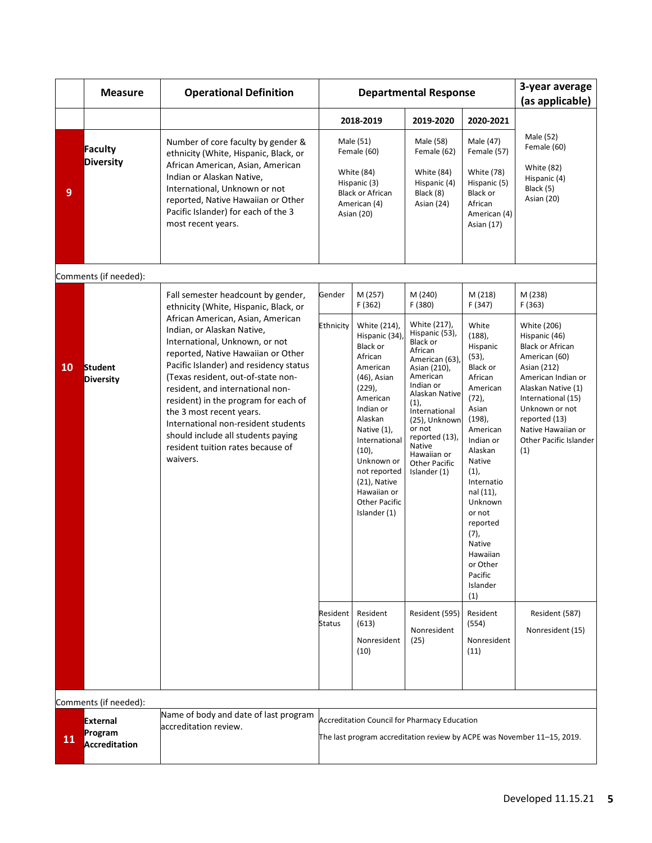|                | <b>Measure</b>                              | <b>Operational Definition</b>                                                                                                                                                                                                                                                                                                                                                                                                                                 |                                                                                                                                | <b>Departmental Response</b>                                                                                                                                                                                                                                                                |                                                                                                                                                                                                                                                                                         |                                                                                                                                                                                                                                                                                                       | 3-year average<br>(as applicable)                                                                                                                                                                                                                   |
|----------------|---------------------------------------------|---------------------------------------------------------------------------------------------------------------------------------------------------------------------------------------------------------------------------------------------------------------------------------------------------------------------------------------------------------------------------------------------------------------------------------------------------------------|--------------------------------------------------------------------------------------------------------------------------------|---------------------------------------------------------------------------------------------------------------------------------------------------------------------------------------------------------------------------------------------------------------------------------------------|-----------------------------------------------------------------------------------------------------------------------------------------------------------------------------------------------------------------------------------------------------------------------------------------|-------------------------------------------------------------------------------------------------------------------------------------------------------------------------------------------------------------------------------------------------------------------------------------------------------|-----------------------------------------------------------------------------------------------------------------------------------------------------------------------------------------------------------------------------------------------------|
|                |                                             |                                                                                                                                                                                                                                                                                                                                                                                                                                                               |                                                                                                                                | 2018-2019                                                                                                                                                                                                                                                                                   | 2019-2020                                                                                                                                                                                                                                                                               | 2020-2021                                                                                                                                                                                                                                                                                             |                                                                                                                                                                                                                                                     |
| $\overline{9}$ | Faculty<br><b>Diversity</b>                 | Number of core faculty by gender &<br>ethnicity (White, Hispanic, Black, or<br>African American, Asian, American<br>Indian or Alaskan Native,<br>International, Unknown or not<br>reported, Native Hawaiian or Other<br>Pacific Islander) for each of the 3<br>most recent years.                                                                                                                                                                             |                                                                                                                                | Male (51)<br>Female (60)<br><b>White (84)</b><br>Hispanic (3)<br><b>Black or African</b><br>American (4)<br>Asian (20)                                                                                                                                                                      | Male (58)<br>Female (62)<br><b>White (84)</b><br>Hispanic (4)<br>Black (8)<br>Asian (24)                                                                                                                                                                                                | Male (47)<br>Female (57)<br><b>White (78)</b><br>Hispanic (5)<br>Black or<br>African<br>American (4)<br>Asian (17)                                                                                                                                                                                    | Male (52)<br>Female (60)<br><b>White (82)</b><br>Hispanic (4)<br>Black (5)<br>Asian (20)                                                                                                                                                            |
|                | Comments (if needed):                       |                                                                                                                                                                                                                                                                                                                                                                                                                                                               |                                                                                                                                |                                                                                                                                                                                                                                                                                             |                                                                                                                                                                                                                                                                                         |                                                                                                                                                                                                                                                                                                       |                                                                                                                                                                                                                                                     |
|                |                                             | Fall semester headcount by gender,<br>ethnicity (White, Hispanic, Black, or                                                                                                                                                                                                                                                                                                                                                                                   | Gender                                                                                                                         | M (257)<br>F (362)                                                                                                                                                                                                                                                                          | M (240)<br>F (380)                                                                                                                                                                                                                                                                      | M (218)<br>F (347)                                                                                                                                                                                                                                                                                    | M (238)<br>F(363)                                                                                                                                                                                                                                   |
| <b>10</b>      | <b>Student</b><br><b>Diversity</b>          | African American, Asian, American<br>Indian, or Alaskan Native,<br>International, Unknown, or not<br>reported, Native Hawaiian or Other<br>Pacific Islander) and residency status<br>(Texas resident, out-of-state non-<br>resident, and international non-<br>resident) in the program for each of<br>the 3 most recent years.<br>International non-resident students<br>should include all students paying<br>resident tuition rates because of<br>waivers. | Ethnicity                                                                                                                      | White (214),<br>Hispanic (34)<br><b>Black or</b><br>African<br>American<br>$(46)$ , Asian<br>$(229)$ ,<br>American<br>Indian or<br>Alaskan<br>Native (1),<br>International<br>$(10)$ ,<br>Unknown or<br>not reported<br>(21), Native<br>Hawaiian or<br><b>Other Pacific</b><br>Islander (1) | White (217),<br>Hispanic (53),<br><b>Black or</b><br>African<br>American (63),<br>Asian (210),<br>American<br>Indian or<br>Alaskan Native<br>(1),<br>International<br>(25), Unknown<br>or not<br>reported (13),<br><b>Native</b><br>Hawaiian or<br><b>Other Pacific</b><br>Islander (1) | White<br>$(188)$ ,<br>Hispanic<br>$(53)$ ,<br>Black or<br>African<br>American<br>$(72)$ ,<br>Asian<br>(198)<br>American<br>Indian or<br>Alaskan<br>Native<br>(1),<br>Internatio<br>nal (11),<br>Unknown<br>or not<br>reported<br>(7),<br>Native<br>Hawaiian<br>or Other<br>Pacific<br>Islander<br>(1) | White (206)<br>Hispanic (46)<br><b>Black or African</b><br>American (60)<br>Asian (212)<br>American Indian or<br>Alaskan Native (1)<br>International (15)<br>Unknown or not<br>reported (13)<br>Native Hawaiian or<br>Other Pacific Islander<br>(1) |
|                |                                             |                                                                                                                                                                                                                                                                                                                                                                                                                                                               | Resident<br><b>Status</b>                                                                                                      | Resident<br>(613)<br>Nonresident<br>(10)                                                                                                                                                                                                                                                    | Resident (595)<br>Nonresident<br>(25)                                                                                                                                                                                                                                                   | Resident<br>(554)<br>Nonresident<br>(11)                                                                                                                                                                                                                                                              | Resident (587)<br>Nonresident (15)                                                                                                                                                                                                                  |
|                | Comments (if needed):                       |                                                                                                                                                                                                                                                                                                                                                                                                                                                               |                                                                                                                                |                                                                                                                                                                                                                                                                                             |                                                                                                                                                                                                                                                                                         |                                                                                                                                                                                                                                                                                                       |                                                                                                                                                                                                                                                     |
| 11             | <b>External</b><br>Program<br>Accreditation | Name of body and date of last program<br>accreditation review.                                                                                                                                                                                                                                                                                                                                                                                                | <b>Accreditation Council for Pharmacy Education</b><br>The last program accreditation review by ACPE was November 11-15, 2019. |                                                                                                                                                                                                                                                                                             |                                                                                                                                                                                                                                                                                         |                                                                                                                                                                                                                                                                                                       |                                                                                                                                                                                                                                                     |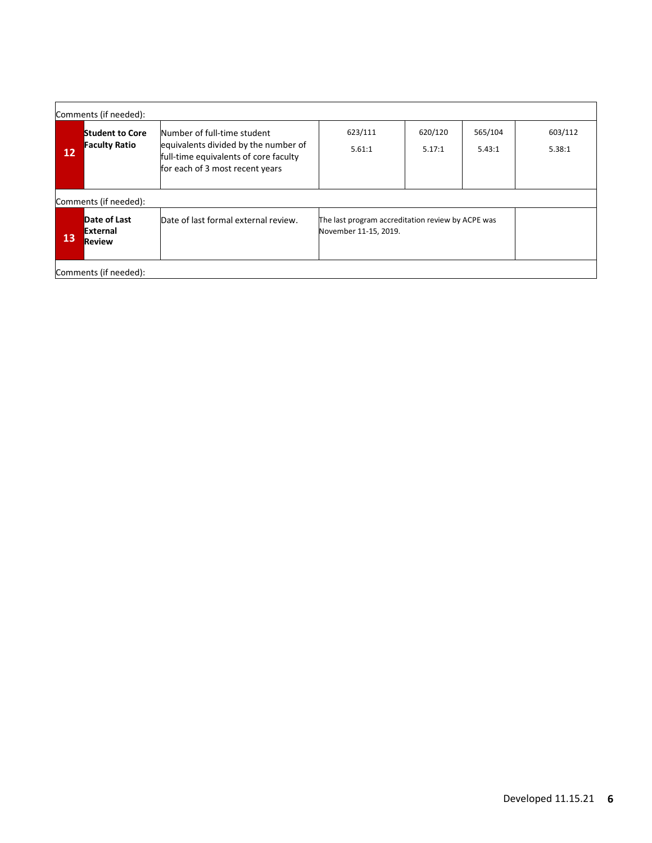|                   | Comments (if needed):                                                                                                                                                  |                                                                                                                                                 |                   |                   |                   |                   |  |  |
|-------------------|------------------------------------------------------------------------------------------------------------------------------------------------------------------------|-------------------------------------------------------------------------------------------------------------------------------------------------|-------------------|-------------------|-------------------|-------------------|--|--|
| $12 \overline{ }$ | <b>Student to Core</b><br><b>Faculty Ratio</b>                                                                                                                         | Number of full-time student<br>equivalents divided by the number of<br>full-time equivalents of core faculty<br>for each of 3 most recent years | 623/111<br>5.61:1 | 620/120<br>5.17:1 | 565/104<br>5.43:1 | 603/112<br>5.38:1 |  |  |
|                   | Comments (if needed):                                                                                                                                                  |                                                                                                                                                 |                   |                   |                   |                   |  |  |
| 13                | Date of Last<br>Date of last formal external review.<br>The last program accreditation review by ACPE was<br><b>External</b><br>November 11-15, 2019.<br><b>Review</b> |                                                                                                                                                 |                   |                   |                   |                   |  |  |
|                   | Comments (if needed):                                                                                                                                                  |                                                                                                                                                 |                   |                   |                   |                   |  |  |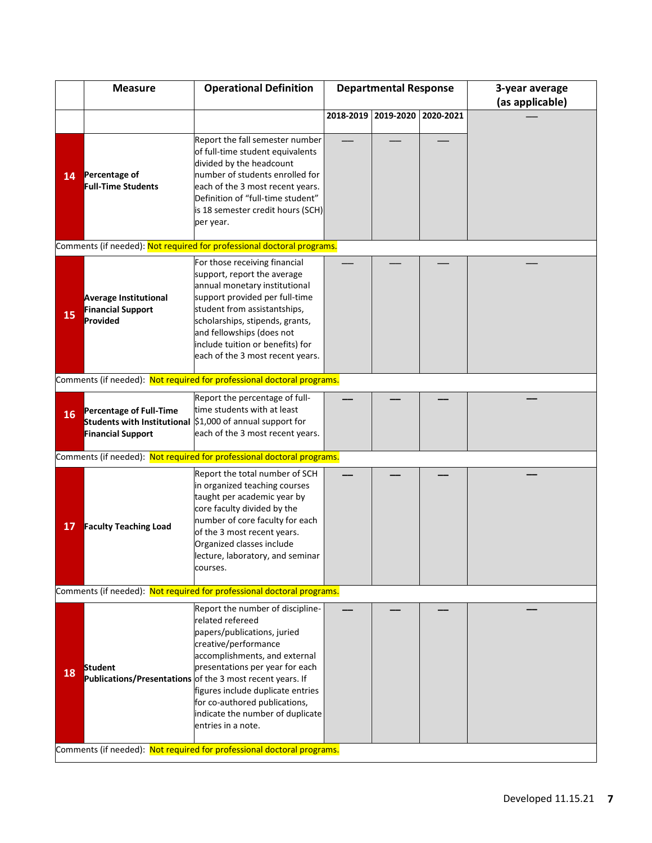|    | <b>Measure</b>                                                         | <b>Operational Definition</b>                                                                                                                                                                                                                                                                                                                                                | <b>Departmental Response</b> |           |           | 3-year average<br>(as applicable) |  |  |
|----|------------------------------------------------------------------------|------------------------------------------------------------------------------------------------------------------------------------------------------------------------------------------------------------------------------------------------------------------------------------------------------------------------------------------------------------------------------|------------------------------|-----------|-----------|-----------------------------------|--|--|
|    |                                                                        |                                                                                                                                                                                                                                                                                                                                                                              | 2018-2019                    | 2019-2020 | 2020-2021 |                                   |  |  |
| 14 | Percentage of<br><b>Full-Time Students</b>                             | Report the fall semester number<br>of full-time student equivalents<br>divided by the headcount<br>number of students enrolled for<br>each of the 3 most recent years.<br>Definition of "full-time student"<br>is 18 semester credit hours (SCH)<br>per year.                                                                                                                |                              |           |           |                                   |  |  |
|    |                                                                        | Comments (if needed): Not required for professional doctoral programs.                                                                                                                                                                                                                                                                                                       |                              |           |           |                                   |  |  |
| 15 | <b>Average Institutional</b><br><b>Financial Support</b><br>Provided   | For those receiving financial<br>support, report the average<br>annual monetary institutional<br>support provided per full-time<br>student from assistantships,<br>scholarships, stipends, grants,<br>and fellowships (does not<br>include tuition or benefits) for<br>each of the 3 most recent years.                                                                      |                              |           |           |                                   |  |  |
|    |                                                                        | Comments (if needed): Not required for professional doctoral programs.                                                                                                                                                                                                                                                                                                       |                              |           |           |                                   |  |  |
| 16 | <b>Percentage of Full-Time</b><br><b>Financial Support</b>             | Report the percentage of full-<br>time students with at least<br>Students with Institutional \$1,000 of annual support for<br>each of the 3 most recent years.                                                                                                                                                                                                               |                              |           |           |                                   |  |  |
|    |                                                                        | Comments (if needed): Not required for professional doctoral programs.                                                                                                                                                                                                                                                                                                       |                              |           |           |                                   |  |  |
| 17 | <b>Faculty Teaching Load</b>                                           | Report the total number of SCH<br>in organized teaching courses<br>taught per academic year by<br>core faculty divided by the<br>number of core faculty for each<br>of the 3 most recent years.<br>Organized classes include<br>lecture, laboratory, and seminar<br>courses.                                                                                                 |                              |           |           |                                   |  |  |
|    |                                                                        | Comments (if needed): Not required for professional doctoral programs.                                                                                                                                                                                                                                                                                                       |                              |           |           |                                   |  |  |
| 18 | Student                                                                | Report the number of discipline-<br>related refereed<br>papers/publications, juried<br>creative/performance<br>accomplishments, and external<br>presentations per year for each<br>Publications/Presentations of the 3 most recent years. If<br>figures include duplicate entries<br>for co-authored publications,<br>indicate the number of duplicate<br>entries in a note. |                              |           |           |                                   |  |  |
|    | Comments (if needed): Not required for professional doctoral programs. |                                                                                                                                                                                                                                                                                                                                                                              |                              |           |           |                                   |  |  |